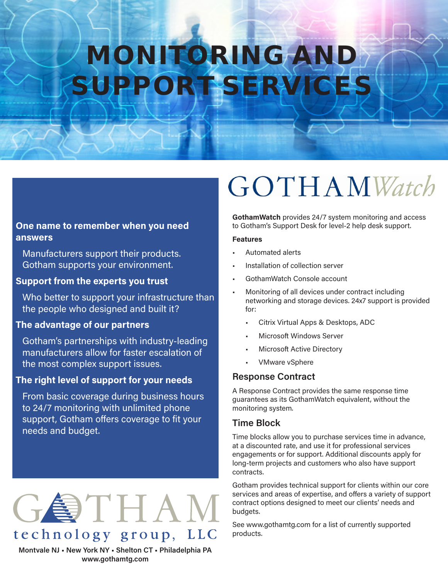# MONITORING AND SUPPORT SERVICE

# **One name to remember when you need answers**

Manufacturers support their products. Gotham supports your environment.

# **Support from the experts you trust**

Who better to support your infrastructure than the people who designed and built it?

# **The advantage of our partners**

Gotham's partnerships with industry-leading manufacturers allow for faster escalation of the most complex support issues.

# **The right level of support for your needs**

From basic coverage during business hours to 24/7 monitoring with unlimited phone support, Gotham offers coverage to fit your needs and budget.

# GOTHAN technology group, LLC

**Montvale NJ • New York NY • Shelton CT • Philadelphia PA www.gothamtg.com**

# **GOTHAMWatch**

**GothamWatch** provides 24/7 system monitoring and access to Gotham's Support Desk for level-2 help desk support.

#### **Features**

- Automated alerts
- Installation of collection server
- GothamWatch Console account
- Monitoring of all devices under contract including networking and storage devices. 24x7 support is provided for:
	- Citrix Virtual Apps & Desktops, ADC
	- Microsoft Windows Server
	- Microsoft Active Directory
	- VMware vSphere

# **Response Contract**

A Response Contract provides the same response time guarantees as its GothamWatch equivalent, without the monitoring system.

### **Time Block**

Time blocks allow you to purchase services time in advance, at a discounted rate, and use it for professional services engagements or for support. Additional discounts apply for long-term projects and customers who also have support contracts.

Gotham provides technical support for clients within our core services and areas of expertise, and offers a variety of support contract options designed to meet our clients' needs and budgets.

See www.gothamtg.com for a list of currently supported products.